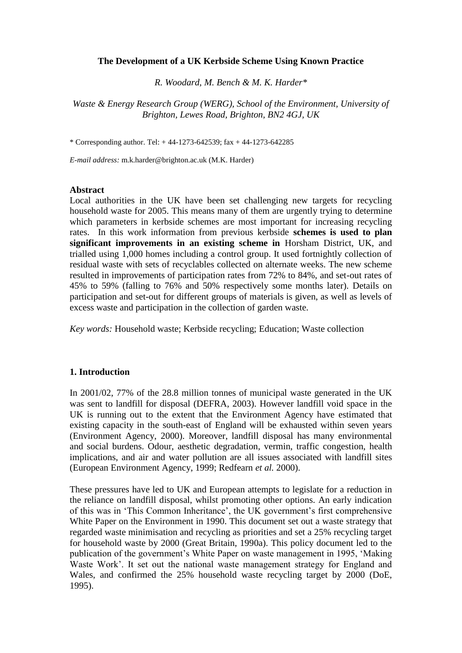### **The Development of a UK Kerbside Scheme Using Known Practice**

*R. Woodard, M. Bench & M. K. Harder\** 

*Waste & Energy Research Group (WERG), School of the Environment, University of Brighton, Lewes Road, Brighton, BN2 4GJ, UK*

\* Corresponding author. Tel: + 44-1273-642539; fax + 44-1273-642285

*E-mail address:* m.k.harder@brighton.ac.uk (M.K. Harder)

#### **Abstract**

Local authorities in the UK have been set challenging new targets for recycling household waste for 2005. This means many of them are urgently trying to determine which parameters in kerbside schemes are most important for increasing recycling rates. In this work information from previous kerbside **schemes is used to plan significant improvements in an existing scheme in** Horsham District, UK, and trialled using 1,000 homes including a control group. It used fortnightly collection of residual waste with sets of recyclables collected on alternate weeks. The new scheme resulted in improvements of participation rates from 72% to 84%, and set-out rates of 45% to 59% (falling to 76% and 50% respectively some months later). Details on participation and set-out for different groups of materials is given, as well as levels of excess waste and participation in the collection of garden waste.

*Key words:* Household waste; Kerbside recycling; Education; Waste collection

#### **1. Introduction**

In 2001/02, 77% of the 28.8 million tonnes of municipal waste generated in the UK was sent to landfill for disposal (DEFRA, 2003). However landfill void space in the UK is running out to the extent that the Environment Agency have estimated that existing capacity in the south-east of England will be exhausted within seven years (Environment Agency, 2000). Moreover, landfill disposal has many environmental and social burdens. Odour, aesthetic degradation, vermin, traffic congestion, health implications, and air and water pollution are all issues associated with landfill sites (European Environment Agency, 1999; Redfearn *et al.* 2000).

These pressures have led to UK and European attempts to legislate for a reduction in the reliance on landfill disposal, whilst promoting other options. An early indication of this was in 'This Common Inheritance', the UK government's first comprehensive White Paper on the Environment in 1990. This document set out a waste strategy that regarded waste minimisation and recycling as priorities and set a 25% recycling target for household waste by 2000 (Great Britain, 1990a). This policy document led to the publication of the government's White Paper on waste management in 1995, 'Making Waste Work'. It set out the national waste management strategy for England and Wales, and confirmed the 25% household waste recycling target by 2000 (DoE, 1995).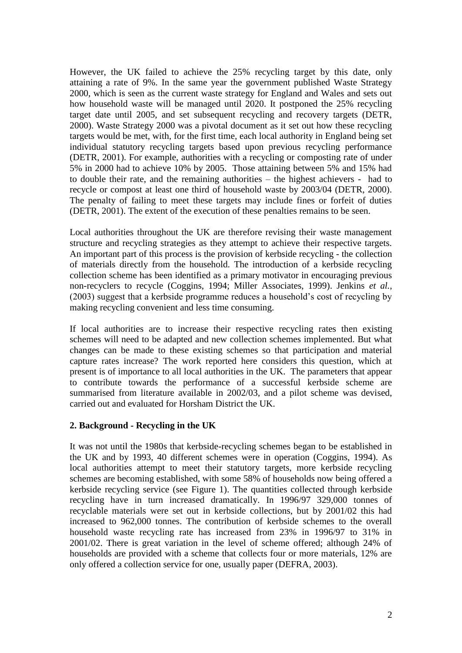However, the UK failed to achieve the 25% recycling target by this date, only attaining a rate of 9%. In the same year the government published Waste Strategy 2000, which is seen as the current waste strategy for England and Wales and sets out how household waste will be managed until 2020. It postponed the 25% recycling target date until 2005, and set subsequent recycling and recovery targets (DETR, 2000). Waste Strategy 2000 was a pivotal document as it set out how these recycling targets would be met, with, for the first time, each local authority in England being set individual statutory recycling targets based upon previous recycling performance (DETR, 2001). For example, authorities with a recycling or composting rate of under 5% in 2000 had to achieve 10% by 2005. Those attaining between 5% and 15% had to double their rate, and the remaining authorities – the highest achievers - had to recycle or compost at least one third of household waste by 2003/04 (DETR, 2000). The penalty of failing to meet these targets may include fines or forfeit of duties (DETR, 2001). The extent of the execution of these penalties remains to be seen.

Local authorities throughout the UK are therefore revising their waste management structure and recycling strategies as they attempt to achieve their respective targets. An important part of this process is the provision of kerbside recycling - the collection of materials directly from the household. The introduction of a kerbside recycling collection scheme has been identified as a primary motivator in encouraging previous non-recyclers to recycle (Coggins, 1994; Miller Associates, 1999). Jenkins *et al.*, (2003) suggest that a kerbside programme reduces a household's cost of recycling by making recycling convenient and less time consuming.

If local authorities are to increase their respective recycling rates then existing schemes will need to be adapted and new collection schemes implemented. But what changes can be made to these existing schemes so that participation and material capture rates increase? The work reported here considers this question, which at present is of importance to all local authorities in the UK. The parameters that appear to contribute towards the performance of a successful kerbside scheme are summarised from literature available in 2002/03, and a pilot scheme was devised, carried out and evaluated for Horsham District the UK.

#### **2. Background - Recycling in the UK**

It was not until the 1980s that kerbside-recycling schemes began to be established in the UK and by 1993, 40 different schemes were in operation (Coggins, 1994). As local authorities attempt to meet their statutory targets, more kerbside recycling schemes are becoming established, with some 58% of households now being offered a kerbside recycling service (see Figure 1). The quantities collected through kerbside recycling have in turn increased dramatically. In 1996/97 329,000 tonnes of recyclable materials were set out in kerbside collections, but by 2001/02 this had increased to 962,000 tonnes. The contribution of kerbside schemes to the overall household waste recycling rate has increased from 23% in 1996/97 to 31% in 2001/02. There is great variation in the level of scheme offered; although 24% of households are provided with a scheme that collects four or more materials, 12% are only offered a collection service for one, usually paper (DEFRA, 2003).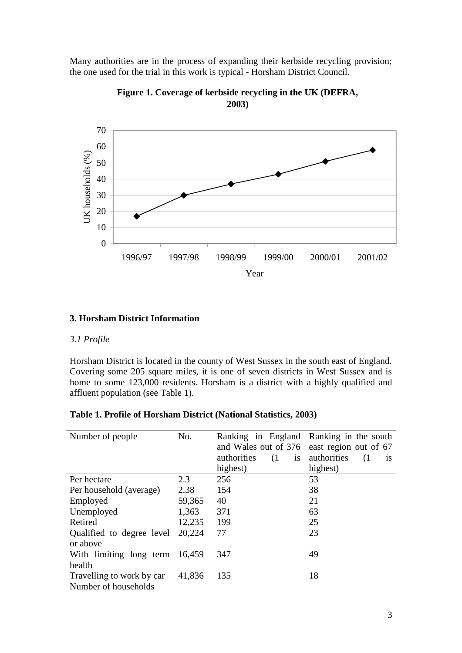Many authorities are in the process of expanding their kerbside recycling provision; the one used for the trial in this work is typical - Horsham District Council.





# **3. Horsham District Information**

### *3.1 Profile*

Horsham District is located in the county of West Sussex in the south east of England. Covering some 205 square miles, it is one of seven districts in West Sussex and is home to some 123,000 residents. Horsham is a district with a highly qualified and affluent population (see Table 1).

|  |  |  |  |  |  | Table 1. Profile of Horsham District (National Statistics, 2003) |  |  |  |  |
|--|--|--|--|--|--|------------------------------------------------------------------|--|--|--|--|
|--|--|--|--|--|--|------------------------------------------------------------------|--|--|--|--|

| Number of people          | No.    | Ranking in England<br>and Wales out of 376 east region out of 67<br>authorities<br>(1)<br>1S<br>highest) | Ranking in the south<br>authorities<br>(1)<br><b>1S</b><br>highest) |
|---------------------------|--------|----------------------------------------------------------------------------------------------------------|---------------------------------------------------------------------|
| Per hectare               | 2.3    | 256                                                                                                      | 53                                                                  |
|                           |        |                                                                                                          |                                                                     |
| Per household (average)   | 2.38   | 154                                                                                                      | 38                                                                  |
| Employed                  | 59,365 | 40                                                                                                       | 21                                                                  |
| Unemployed                | 1,363  | 371                                                                                                      | 63                                                                  |
| Retired                   | 12,235 | 199                                                                                                      | 25                                                                  |
| Qualified to degree level | 20,224 | 77                                                                                                       | 23                                                                  |
| or above                  |        |                                                                                                          |                                                                     |
| With limiting long term   | 16,459 | 347                                                                                                      | 49                                                                  |
| health                    |        |                                                                                                          |                                                                     |
| Travelling to work by car | 41,836 | 135                                                                                                      | 18                                                                  |
| Number of households      |        |                                                                                                          |                                                                     |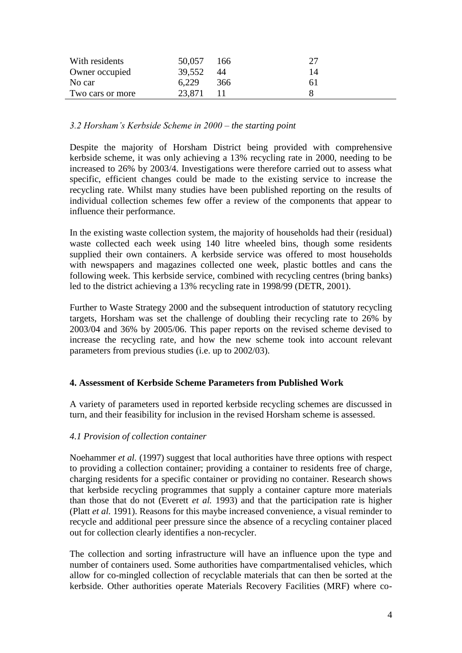| With residents   | 50,057 | -166 | 27  |
|------------------|--------|------|-----|
| Owner occupied   | 39,552 | -44  | 14  |
| No car           | 6,229  | 366  | 6 I |
| Two cars or more | 23,871 |      |     |

# *3.2 Horsham's Kerbside Scheme in 2000 – the starting point*

Despite the majority of Horsham District being provided with comprehensive kerbside scheme, it was only achieving a 13% recycling rate in 2000, needing to be increased to 26% by 2003/4. Investigations were therefore carried out to assess what specific, efficient changes could be made to the existing service to increase the recycling rate. Whilst many studies have been published reporting on the results of individual collection schemes few offer a review of the components that appear to influence their performance.

In the existing waste collection system, the majority of households had their (residual) waste collected each week using 140 litre wheeled bins, though some residents supplied their own containers. A kerbside service was offered to most households with newspapers and magazines collected one week, plastic bottles and cans the following week. This kerbside service, combined with recycling centres (bring banks) led to the district achieving a 13% recycling rate in 1998/99 (DETR, 2001).

Further to Waste Strategy 2000 and the subsequent introduction of statutory recycling targets, Horsham was set the challenge of doubling their recycling rate to 26% by 2003/04 and 36% by 2005/06. This paper reports on the revised scheme devised to increase the recycling rate, and how the new scheme took into account relevant parameters from previous studies (i.e. up to 2002/03).

#### **4. Assessment of Kerbside Scheme Parameters from Published Work**

A variety of parameters used in reported kerbside recycling schemes are discussed in turn, and their feasibility for inclusion in the revised Horsham scheme is assessed.

#### *4.1 Provision of collection container*

Noehammer *et al.* (1997) suggest that local authorities have three options with respect to providing a collection container; providing a container to residents free of charge, charging residents for a specific container or providing no container. Research shows that kerbside recycling programmes that supply a container capture more materials than those that do not (Everett *et al.* 1993) and that the participation rate is higher (Platt *et al.* 1991). Reasons for this maybe increased convenience, a visual reminder to recycle and additional peer pressure since the absence of a recycling container placed out for collection clearly identifies a non-recycler.

The collection and sorting infrastructure will have an influence upon the type and number of containers used. Some authorities have compartmentalised vehicles, which allow for co-mingled collection of recyclable materials that can then be sorted at the kerbside. Other authorities operate Materials Recovery Facilities (MRF) where co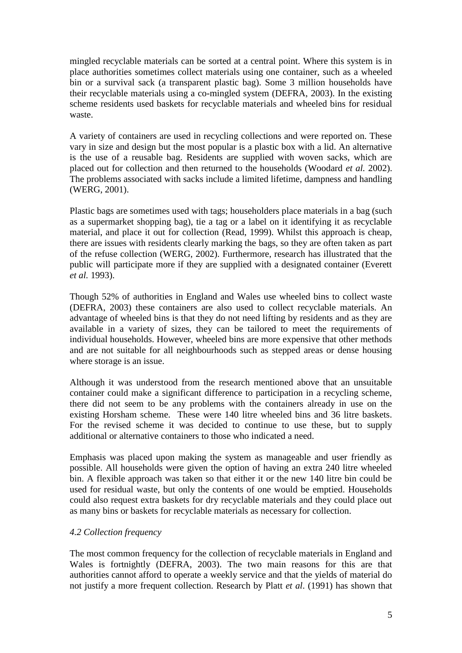mingled recyclable materials can be sorted at a central point. Where this system is in place authorities sometimes collect materials using one container, such as a wheeled bin or a survival sack (a transparent plastic bag). Some 3 million households have their recyclable materials using a co-mingled system (DEFRA, 2003). In the existing scheme residents used baskets for recyclable materials and wheeled bins for residual waste.

A variety of containers are used in recycling collections and were reported on. These vary in size and design but the most popular is a plastic box with a lid. An alternative is the use of a reusable bag. Residents are supplied with woven sacks, which are placed out for collection and then returned to the households (Woodard *et al.* 2002). The problems associated with sacks include a limited lifetime, dampness and handling (WERG, 2001).

Plastic bags are sometimes used with tags; householders place materials in a bag (such as a supermarket shopping bag), tie a tag or a label on it identifying it as recyclable material, and place it out for collection (Read, 1999). Whilst this approach is cheap, there are issues with residents clearly marking the bags, so they are often taken as part of the refuse collection (WERG, 2002). Furthermore, research has illustrated that the public will participate more if they are supplied with a designated container (Everett *et al.* 1993).

Though 52% of authorities in England and Wales use wheeled bins to collect waste (DEFRA, 2003) these containers are also used to collect recyclable materials. An advantage of wheeled bins is that they do not need lifting by residents and as they are available in a variety of sizes, they can be tailored to meet the requirements of individual households. However, wheeled bins are more expensive that other methods and are not suitable for all neighbourhoods such as stepped areas or dense housing where storage is an issue.

Although it was understood from the research mentioned above that an unsuitable container could make a significant difference to participation in a recycling scheme, there did not seem to be any problems with the containers already in use on the existing Horsham scheme. These were 140 litre wheeled bins and 36 litre baskets. For the revised scheme it was decided to continue to use these, but to supply additional or alternative containers to those who indicated a need.

Emphasis was placed upon making the system as manageable and user friendly as possible. All households were given the option of having an extra 240 litre wheeled bin. A flexible approach was taken so that either it or the new 140 litre bin could be used for residual waste, but only the contents of one would be emptied. Households could also request extra baskets for dry recyclable materials and they could place out as many bins or baskets for recyclable materials as necessary for collection.

#### *4.2 Collection frequency*

The most common frequency for the collection of recyclable materials in England and Wales is fortnightly (DEFRA, 2003). The two main reasons for this are that authorities cannot afford to operate a weekly service and that the yields of material do not justify a more frequent collection. Research by Platt *et al*. (1991) has shown that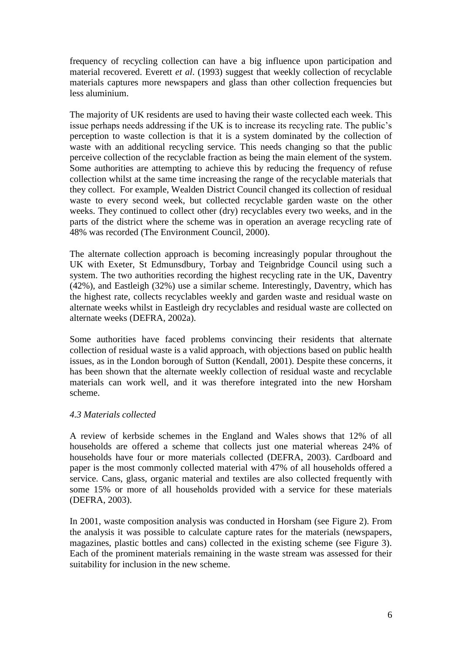frequency of recycling collection can have a big influence upon participation and material recovered. Everett *et al*. (1993) suggest that weekly collection of recyclable materials captures more newspapers and glass than other collection frequencies but less aluminium.

The majority of UK residents are used to having their waste collected each week. This issue perhaps needs addressing if the UK is to increase its recycling rate. The public's perception to waste collection is that it is a system dominated by the collection of waste with an additional recycling service. This needs changing so that the public perceive collection of the recyclable fraction as being the main element of the system. Some authorities are attempting to achieve this by reducing the frequency of refuse collection whilst at the same time increasing the range of the recyclable materials that they collect. For example, Wealden District Council changed its collection of residual waste to every second week, but collected recyclable garden waste on the other weeks. They continued to collect other (dry) recyclables every two weeks, and in the parts of the district where the scheme was in operation an average recycling rate of 48% was recorded (The Environment Council, 2000).

The alternate collection approach is becoming increasingly popular throughout the UK with Exeter, St Edmunsdbury, Torbay and Teignbridge Council using such a system. The two authorities recording the highest recycling rate in the UK, Daventry (42%), and Eastleigh (32%) use a similar scheme. Interestingly, Daventry, which has the highest rate, collects recyclables weekly and garden waste and residual waste on alternate weeks whilst in Eastleigh dry recyclables and residual waste are collected on alternate weeks (DEFRA, 2002a).

Some authorities have faced problems convincing their residents that alternate collection of residual waste is a valid approach, with objections based on public health issues, as in the London borough of Sutton (Kendall, 2001). Despite these concerns, it has been shown that the alternate weekly collection of residual waste and recyclable materials can work well, and it was therefore integrated into the new Horsham scheme.

#### *4.3 Materials collected*

A review of kerbside schemes in the England and Wales shows that 12% of all households are offered a scheme that collects just one material whereas 24% of households have four or more materials collected (DEFRA, 2003). Cardboard and paper is the most commonly collected material with 47% of all households offered a service. Cans, glass, organic material and textiles are also collected frequently with some 15% or more of all households provided with a service for these materials (DEFRA, 2003).

In 2001, waste composition analysis was conducted in Horsham (see Figure 2). From the analysis it was possible to calculate capture rates for the materials (newspapers, magazines, plastic bottles and cans) collected in the existing scheme (see Figure 3). Each of the prominent materials remaining in the waste stream was assessed for their suitability for inclusion in the new scheme.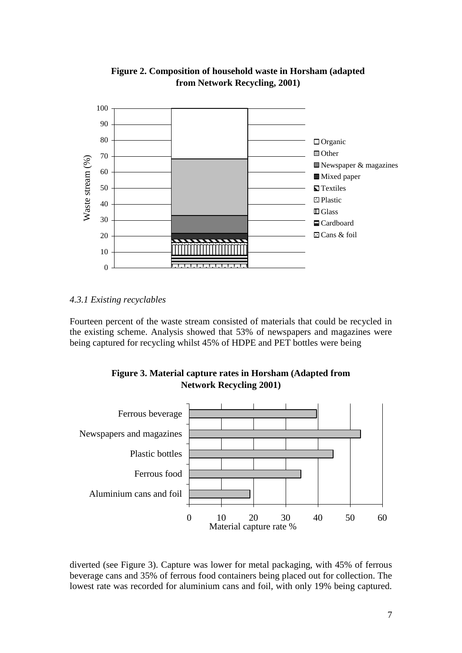

# **Figure 2. Composition of household waste in Horsham (adapted from Network Recycling, 2001)**

*4.3.1 Existing recyclables*

Fourteen percent of the waste stream consisted of materials that could be recycled in the existing scheme. Analysis showed that 53% of newspapers and magazines were being captured for recycling whilst 45% of HDPE and PET bottles were being





diverted (see Figure 3). Capture was lower for metal packaging, with 45% of ferrous beverage cans and 35% of ferrous food containers being placed out for collection. The lowest rate was recorded for aluminium cans and foil, with only 19% being captured.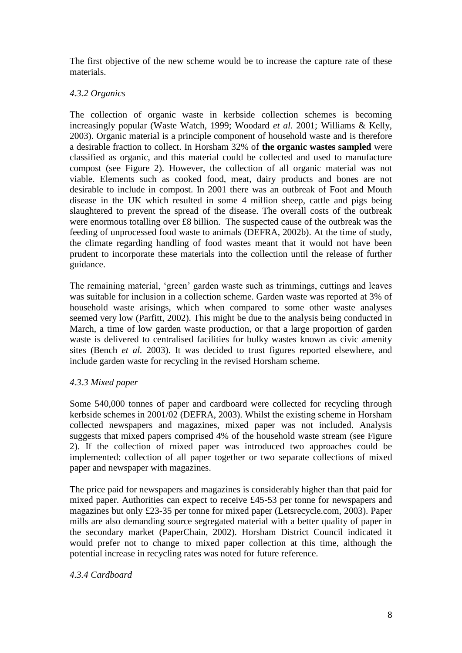The first objective of the new scheme would be to increase the capture rate of these materials.

# *4.3.2 Organics*

The collection of organic waste in kerbside collection schemes is becoming increasingly popular (Waste Watch, 1999; Woodard *et al.* 2001; Williams & Kelly, 2003). Organic material is a principle component of household waste and is therefore a desirable fraction to collect. In Horsham 32% of **the organic wastes sampled** were classified as organic, and this material could be collected and used to manufacture compost (see Figure 2). However, the collection of all organic material was not viable. Elements such as cooked food, meat, dairy products and bones are not desirable to include in compost. In 2001 there was an outbreak of Foot and Mouth disease in the UK which resulted in some 4 million sheep, cattle and pigs being slaughtered to prevent the spread of the disease. The overall costs of the outbreak were enormous totalling over £8 billion. The suspected cause of the outbreak was the feeding of unprocessed food waste to animals (DEFRA, 2002b). At the time of study, the climate regarding handling of food wastes meant that it would not have been prudent to incorporate these materials into the collection until the release of further guidance.

The remaining material, 'green' garden waste such as trimmings, cuttings and leaves was suitable for inclusion in a collection scheme. Garden waste was reported at 3% of household waste arisings, which when compared to some other waste analyses seemed very low (Parfitt, 2002). This might be due to the analysis being conducted in March, a time of low garden waste production, or that a large proportion of garden waste is delivered to centralised facilities for bulky wastes known as civic amenity sites (Bench *et al.* 2003). It was decided to trust figures reported elsewhere, and include garden waste for recycling in the revised Horsham scheme.

# *4.3.3 Mixed paper*

Some 540,000 tonnes of paper and cardboard were collected for recycling through kerbside schemes in 2001/02 (DEFRA, 2003). Whilst the existing scheme in Horsham collected newspapers and magazines, mixed paper was not included. Analysis suggests that mixed papers comprised 4% of the household waste stream (see Figure 2). If the collection of mixed paper was introduced two approaches could be implemented: collection of all paper together or two separate collections of mixed paper and newspaper with magazines.

The price paid for newspapers and magazines is considerably higher than that paid for mixed paper. Authorities can expect to receive £45-53 per tonne for newspapers and magazines but only £23-35 per tonne for mixed paper (Letsrecycle.com, 2003). Paper mills are also demanding source segregated material with a better quality of paper in the secondary market (PaperChain, 2002). Horsham District Council indicated it would prefer not to change to mixed paper collection at this time, although the potential increase in recycling rates was noted for future reference.

#### *4.3.4 Cardboard*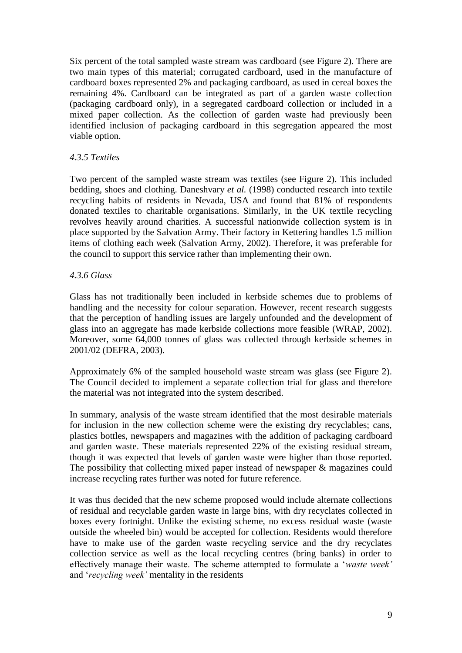Six percent of the total sampled waste stream was cardboard (see Figure 2). There are two main types of this material; corrugated cardboard, used in the manufacture of cardboard boxes represented 2% and packaging cardboard, as used in cereal boxes the remaining 4%. Cardboard can be integrated as part of a garden waste collection (packaging cardboard only), in a segregated cardboard collection or included in a mixed paper collection. As the collection of garden waste had previously been identified inclusion of packaging cardboard in this segregation appeared the most viable option.

# *4.3.5 Textiles*

Two percent of the sampled waste stream was textiles (see Figure 2). This included bedding, shoes and clothing. Daneshvary *et al.* (1998) conducted research into textile recycling habits of residents in Nevada, USA and found that 81% of respondents donated textiles to charitable organisations. Similarly, in the UK textile recycling revolves heavily around charities. A successful nationwide collection system is in place supported by the Salvation Army. Their factory in Kettering handles 1.5 million items of clothing each week (Salvation Army, 2002). Therefore, it was preferable for the council to support this service rather than implementing their own.

#### *4.3.6 Glass*

Glass has not traditionally been included in kerbside schemes due to problems of handling and the necessity for colour separation. However, recent research suggests that the perception of handling issues are largely unfounded and the development of glass into an aggregate has made kerbside collections more feasible (WRAP, 2002). Moreover, some 64,000 tonnes of glass was collected through kerbside schemes in 2001/02 (DEFRA, 2003).

Approximately 6% of the sampled household waste stream was glass (see Figure 2). The Council decided to implement a separate collection trial for glass and therefore the material was not integrated into the system described.

In summary, analysis of the waste stream identified that the most desirable materials for inclusion in the new collection scheme were the existing dry recyclables; cans, plastics bottles, newspapers and magazines with the addition of packaging cardboard and garden waste. These materials represented 22% of the existing residual stream, though it was expected that levels of garden waste were higher than those reported. The possibility that collecting mixed paper instead of newspaper & magazines could increase recycling rates further was noted for future reference.

It was thus decided that the new scheme proposed would include alternate collections of residual and recyclable garden waste in large bins, with dry recyclates collected in boxes every fortnight. Unlike the existing scheme, no excess residual waste (waste outside the wheeled bin) would be accepted for collection. Residents would therefore have to make use of the garden waste recycling service and the dry recyclates collection service as well as the local recycling centres (bring banks) in order to effectively manage their waste. The scheme attempted to formulate a '*waste week'* and '*recycling week'* mentality in the residents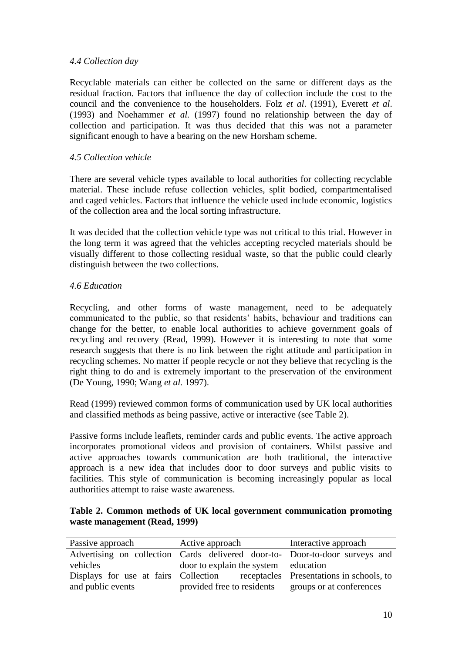## *4.4 Collection day*

Recyclable materials can either be collected on the same or different days as the residual fraction. Factors that influence the day of collection include the cost to the council and the convenience to the householders. Folz *et al*. (1991), Everett *et al*. (1993) and Noehammer *et al.* (1997) found no relationship between the day of collection and participation. It was thus decided that this was not a parameter significant enough to have a bearing on the new Horsham scheme.

# *4.5 Collection vehicle*

There are several vehicle types available to local authorities for collecting recyclable material. These include refuse collection vehicles, split bodied, compartmentalised and caged vehicles. Factors that influence the vehicle used include economic, logistics of the collection area and the local sorting infrastructure.

It was decided that the collection vehicle type was not critical to this trial. However in the long term it was agreed that the vehicles accepting recycled materials should be visually different to those collecting residual waste, so that the public could clearly distinguish between the two collections.

# *4.6 Education*

Recycling, and other forms of waste management, need to be adequately communicated to the public, so that residents' habits, behaviour and traditions can change for the better, to enable local authorities to achieve government goals of recycling and recovery (Read, 1999). However it is interesting to note that some research suggests that there is no link between the right attitude and participation in recycling schemes. No matter if people recycle or not they believe that recycling is the right thing to do and is extremely important to the preservation of the environment (De Young, 1990; Wang *et al.* 1997).

Read (1999) reviewed common forms of communication used by UK local authorities and classified methods as being passive, active or interactive (see Table 2).

Passive forms include leaflets, reminder cards and public events. The active approach incorporates promotional videos and provision of containers. Whilst passive and active approaches towards communication are both traditional, the interactive approach is a new idea that includes door to door surveys and public visits to facilities. This style of communication is becoming increasingly popular as local authorities attempt to raise waste awareness.

## **Table 2. Common methods of UK local government communication promoting waste management (Read, 1999)**

| Passive approach  | Active approach                                                               | Interactive approach |
|-------------------|-------------------------------------------------------------------------------|----------------------|
|                   | Advertising on collection Cards delivered door-to- Door-to-door surveys and   |                      |
| vehicles          | door to explain the system education                                          |                      |
|                   | Displays for use at fairs Collection receptacles Presentations in schools, to |                      |
| and public events | provided free to residents groups or at conferences                           |                      |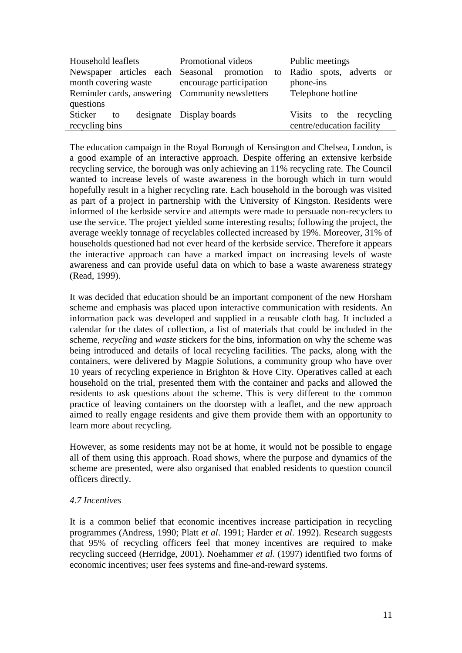| Household leaflets                              | Promotional videos                                                    | Public meetings           |
|-------------------------------------------------|-----------------------------------------------------------------------|---------------------------|
|                                                 | Newspaper articles each Seasonal promotion to Radio spots, adverts or |                           |
| month covering waste encourage participation    |                                                                       | phone-ins                 |
| Reminder cards, answering Community newsletters |                                                                       | Telephone hotline         |
| questions                                       |                                                                       |                           |
| Sticker<br>to                                   | designate Display boards                                              | Visits to the recycling   |
| recycling bins                                  |                                                                       | centre/education facility |

The education campaign in the Royal Borough of Kensington and Chelsea, London, is a good example of an interactive approach. Despite offering an extensive kerbside recycling service, the borough was only achieving an 11% recycling rate. The Council wanted to increase levels of waste awareness in the borough which in turn would hopefully result in a higher recycling rate. Each household in the borough was visited as part of a project in partnership with the University of Kingston. Residents were informed of the kerbside service and attempts were made to persuade non-recyclers to use the service. The project yielded some interesting results; following the project, the average weekly tonnage of recyclables collected increased by 19%. Moreover, 31% of households questioned had not ever heard of the kerbside service. Therefore it appears the interactive approach can have a marked impact on increasing levels of waste awareness and can provide useful data on which to base a waste awareness strategy (Read, 1999).

It was decided that education should be an important component of the new Horsham scheme and emphasis was placed upon interactive communication with residents. An information pack was developed and supplied in a reusable cloth bag. It included a calendar for the dates of collection, a list of materials that could be included in the scheme, *recycling* and *waste* stickers for the bins, information on why the scheme was being introduced and details of local recycling facilities. The packs, along with the containers, were delivered by Magpie Solutions, a community group who have over 10 years of recycling experience in Brighton & Hove City. Operatives called at each household on the trial, presented them with the container and packs and allowed the residents to ask questions about the scheme. This is very different to the common practice of leaving containers on the doorstep with a leaflet, and the new approach aimed to really engage residents and give them provide them with an opportunity to learn more about recycling.

However, as some residents may not be at home, it would not be possible to engage all of them using this approach. Road shows, where the purpose and dynamics of the scheme are presented, were also organised that enabled residents to question council officers directly.

#### *4.7 Incentives*

It is a common belief that economic incentives increase participation in recycling programmes (Andress, 1990; Platt *et al*. 1991; Harder *et al*. 1992). Research suggests that 95% of recycling officers feel that money incentives are required to make recycling succeed (Herridge, 2001). Noehammer *et al*. (1997) identified two forms of economic incentives; user fees systems and fine-and-reward systems.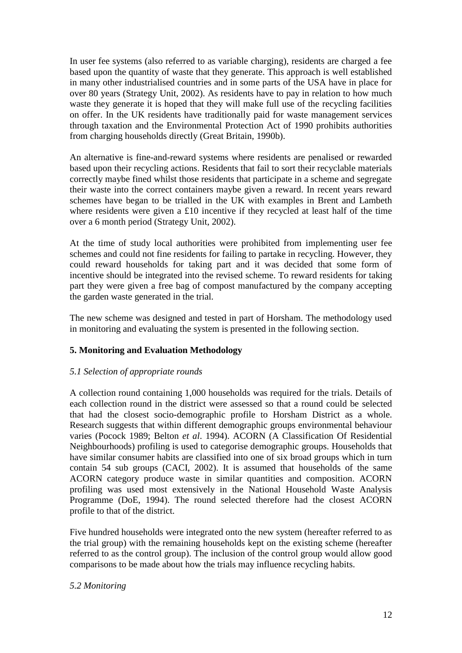In user fee systems (also referred to as variable charging), residents are charged a fee based upon the quantity of waste that they generate. This approach is well established in many other industrialised countries and in some parts of the USA have in place for over 80 years (Strategy Unit, 2002). As residents have to pay in relation to how much waste they generate it is hoped that they will make full use of the recycling facilities on offer. In the UK residents have traditionally paid for waste management services through taxation and the Environmental Protection Act of 1990 prohibits authorities from charging households directly (Great Britain, 1990b).

An alternative is fine-and-reward systems where residents are penalised or rewarded based upon their recycling actions. Residents that fail to sort their recyclable materials correctly maybe fined whilst those residents that participate in a scheme and segregate their waste into the correct containers maybe given a reward. In recent years reward schemes have began to be trialled in the UK with examples in Brent and Lambeth where residents were given a £10 incentive if they recycled at least half of the time over a 6 month period (Strategy Unit, 2002).

At the time of study local authorities were prohibited from implementing user fee schemes and could not fine residents for failing to partake in recycling. However, they could reward households for taking part and it was decided that some form of incentive should be integrated into the revised scheme. To reward residents for taking part they were given a free bag of compost manufactured by the company accepting the garden waste generated in the trial.

The new scheme was designed and tested in part of Horsham. The methodology used in monitoring and evaluating the system is presented in the following section.

# **5. Monitoring and Evaluation Methodology**

# *5.1 Selection of appropriate rounds*

A collection round containing 1,000 households was required for the trials. Details of each collection round in the district were assessed so that a round could be selected that had the closest socio-demographic profile to Horsham District as a whole. Research suggests that within different demographic groups environmental behaviour varies (Pocock 1989; Belton *et al*. 1994). ACORN (A Classification Of Residential Neighbourhoods) profiling is used to categorise demographic groups. Households that have similar consumer habits are classified into one of six broad groups which in turn contain 54 sub groups (CACI, 2002). It is assumed that households of the same ACORN category produce waste in similar quantities and composition. ACORN profiling was used most extensively in the National Household Waste Analysis Programme (DoE, 1994). The round selected therefore had the closest ACORN profile to that of the district.

Five hundred households were integrated onto the new system (hereafter referred to as the trial group) with the remaining households kept on the existing scheme (hereafter referred to as the control group). The inclusion of the control group would allow good comparisons to be made about how the trials may influence recycling habits.

# *5.2 Monitoring*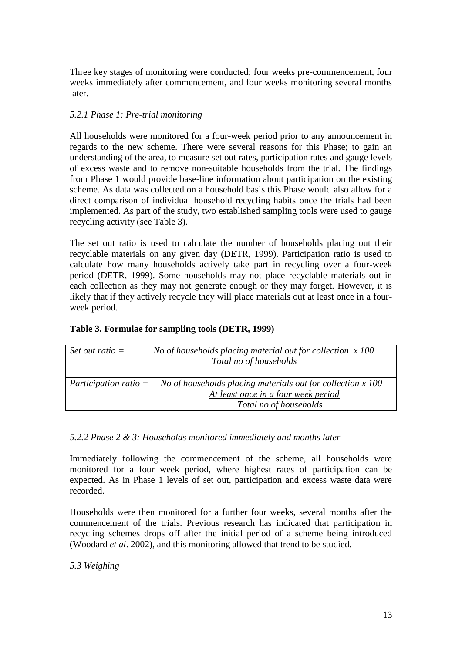Three key stages of monitoring were conducted; four weeks pre-commencement, four weeks immediately after commencement, and four weeks monitoring several months later.

# *5.2.1 Phase 1: Pre-trial monitoring*

All households were monitored for a four-week period prior to any announcement in regards to the new scheme. There were several reasons for this Phase; to gain an understanding of the area, to measure set out rates, participation rates and gauge levels of excess waste and to remove non-suitable households from the trial. The findings from Phase 1 would provide base-line information about participation on the existing scheme. As data was collected on a household basis this Phase would also allow for a direct comparison of individual household recycling habits once the trials had been implemented. As part of the study, two established sampling tools were used to gauge recycling activity (see Table 3).

The set out ratio is used to calculate the number of households placing out their recyclable materials on any given day (DETR, 1999). Participation ratio is used to calculate how many households actively take part in recycling over a four-week period (DETR, 1999). Some households may not place recyclable materials out in each collection as they may not generate enough or they may forget. However, it is likely that if they actively recycle they will place materials out at least once in a fourweek period.

### **Table 3. Formulae for sampling tools (DETR, 1999)**

| Set out ratio $=$ | No of households placing material out for collection $x 100$<br>Total no of households                                                               |
|-------------------|------------------------------------------------------------------------------------------------------------------------------------------------------|
|                   | Participation ratio $=$ No of households placing materials out for collection x 100<br>At least once in a four week period<br>Total no of households |

# *5.2.2 Phase 2 & 3: Households monitored immediately and months later*

Immediately following the commencement of the scheme, all households were monitored for a four week period, where highest rates of participation can be expected. As in Phase 1 levels of set out, participation and excess waste data were recorded.

Households were then monitored for a further four weeks, several months after the commencement of the trials. Previous research has indicated that participation in recycling schemes drops off after the initial period of a scheme being introduced (Woodard *et al*. 2002), and this monitoring allowed that trend to be studied.

*5.3 Weighing*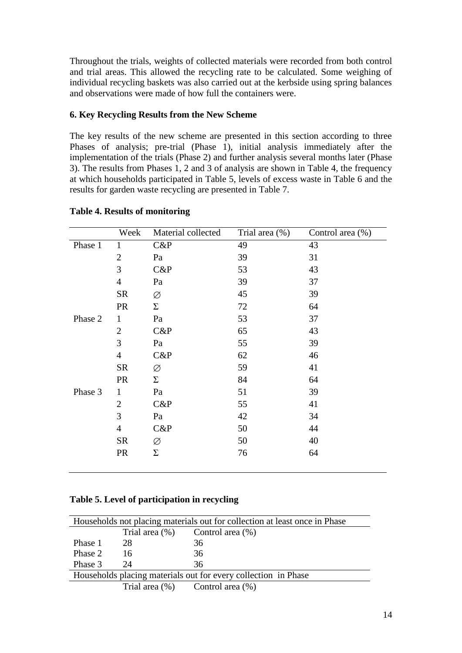Throughout the trials, weights of collected materials were recorded from both control and trial areas. This allowed the recycling rate to be calculated. Some weighing of individual recycling baskets was also carried out at the kerbside using spring balances and observations were made of how full the containers were.

# **6. Key Recycling Results from the New Scheme**

The key results of the new scheme are presented in this section according to three Phases of analysis; pre-trial (Phase 1), initial analysis immediately after the implementation of the trials (Phase 2) and further analysis several months later (Phase 3). The results from Phases 1, 2 and 3 of analysis are shown in Table 4, the frequency at which households participated in Table 5, levels of excess waste in Table 6 and the results for garden waste recycling are presented in Table 7.

|         | Week           | Material collected | Trial area $(\%)$ | Control area (%) |
|---------|----------------|--------------------|-------------------|------------------|
| Phase 1 | $\mathbf{1}$   | $C\&P$             | 49                | 43               |
|         | $\overline{2}$ | Pa                 | 39                | 31               |
|         | 3              | C&P                | 53                | 43               |
|         | $\overline{4}$ | Pa                 | 39                | 37               |
|         | <b>SR</b>      | Ø                  | 45                | 39               |
|         | <b>PR</b>      | Σ                  | 72                | 64               |
| Phase 2 | 1              | Pa                 | 53                | 37               |
|         | $\overline{2}$ | C&P                | 65                | 43               |
|         | 3              | Pa                 | 55                | 39               |
|         | $\overline{4}$ | $C\&P$             | 62                | 46               |
|         | <b>SR</b>      | Ø                  | 59                | 41               |
|         | PR             | Σ                  | 84                | 64               |
| Phase 3 | $\mathbf{1}$   | Pa                 | 51                | 39               |
|         | $\overline{2}$ | C&P                | 55                | 41               |
|         | 3              | Pa                 | 42                | 34               |
|         | $\overline{4}$ | $C\&P$             | 50                | 44               |
|         | <b>SR</b>      | Ø                  | 50                | 40               |
|         | PR             | $\Sigma$           | 76                | 64               |
|         |                |                    |                   |                  |

## **Table 4. Results of monitoring**

# **Table 5. Level of participation in recycling**

| Households not placing materials out for collection at least once in Phase |    |                                       |  |  |  |  |
|----------------------------------------------------------------------------|----|---------------------------------------|--|--|--|--|
| Trial area $(\%)$ Control area $(\%)$                                      |    |                                       |  |  |  |  |
| Phase 1                                                                    | 28 | 36                                    |  |  |  |  |
| Phase 2                                                                    | 16 | 36                                    |  |  |  |  |
| Phase 3                                                                    | 24 | 36                                    |  |  |  |  |
| Households placing materials out for every collection in Phase             |    |                                       |  |  |  |  |
|                                                                            |    | Trial area $(\%)$ Control area $(\%)$ |  |  |  |  |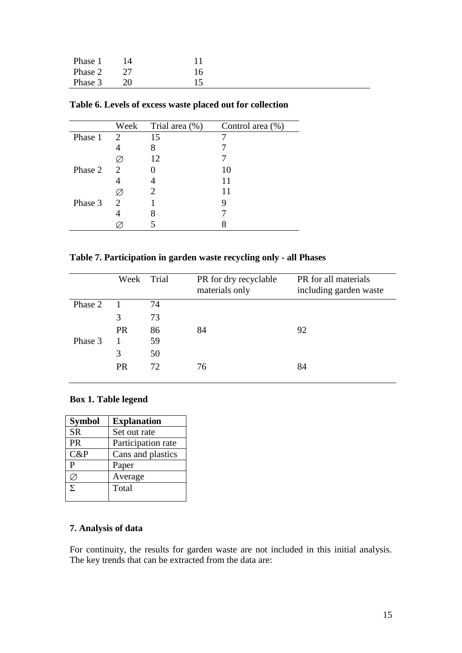| Phase 1 | 14 |    |
|---------|----|----|
| Phase 2 | 27 | 16 |
| Phase 3 |    | 15 |

| Table 6. Levels of excess waste placed out for collection |  |
|-----------------------------------------------------------|--|
|-----------------------------------------------------------|--|

|         |                | Week Trial area $(\%)$ | Control area $(\% )$ |
|---------|----------------|------------------------|----------------------|
| Phase 1 | $\overline{2}$ | 15                     |                      |
|         |                |                        |                      |
|         | Ø              | 12                     |                      |
| Phase 2 | 2              |                        | 10                   |
|         |                |                        | 11                   |
|         |                |                        | 11                   |
| Phase 3 | 2              |                        |                      |
|         |                |                        |                      |
|         |                |                        |                      |

**Table 7. Participation in garden waste recycling only - all Phases** 

|         | Week           | Trial    | PR for dry recyclable<br>materials only | PR for all materials<br>including garden waste |
|---------|----------------|----------|-----------------------------------------|------------------------------------------------|
| Phase 2 |                | 74       |                                         |                                                |
|         | 3              | 73       |                                         |                                                |
| Phase 3 | <b>PR</b><br>1 | 86<br>59 | 84                                      | 92                                             |
|         | 3              | 50       |                                         |                                                |
|         | <b>PR</b>      | 72       | 76                                      | 84                                             |

# **Box 1. Table legend**

| <b>Symbol</b> | <b>Explanation</b> |
|---------------|--------------------|
| <b>SR</b>     | Set out rate       |
| <b>PR</b>     | Participation rate |
| $C\&P$        | Cans and plastics  |
| P             | Paper              |
| Ζ             | Average            |
| Σ             | Total              |
|               |                    |

# **7. Analysis of data**

For continuity, the results for garden waste are not included in this initial analysis. The key trends that can be extracted from the data are: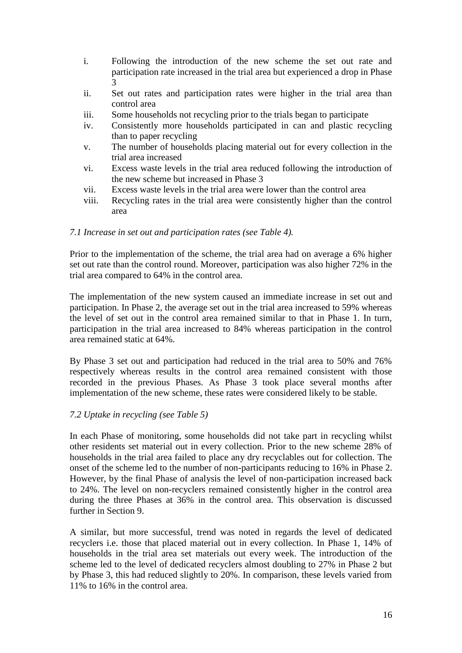- i. Following the introduction of the new scheme the set out rate and participation rate increased in the trial area but experienced a drop in Phase 3
- ii. Set out rates and participation rates were higher in the trial area than control area
- iii. Some households not recycling prior to the trials began to participate
- iv. Consistently more households participated in can and plastic recycling than to paper recycling
- v. The number of households placing material out for every collection in the trial area increased
- vi. Excess waste levels in the trial area reduced following the introduction of the new scheme but increased in Phase 3
- vii. Excess waste levels in the trial area were lower than the control area
- viii. Recycling rates in the trial area were consistently higher than the control area

## *7.1 Increase in set out and participation rates (see Table 4).*

Prior to the implementation of the scheme, the trial area had on average a 6% higher set out rate than the control round. Moreover, participation was also higher 72% in the trial area compared to 64% in the control area.

The implementation of the new system caused an immediate increase in set out and participation. In Phase 2, the average set out in the trial area increased to 59% whereas the level of set out in the control area remained similar to that in Phase 1. In turn, participation in the trial area increased to 84% whereas participation in the control area remained static at 64%.

By Phase 3 set out and participation had reduced in the trial area to 50% and 76% respectively whereas results in the control area remained consistent with those recorded in the previous Phases. As Phase 3 took place several months after implementation of the new scheme, these rates were considered likely to be stable.

#### *7.2 Uptake in recycling (see Table 5)*

In each Phase of monitoring, some households did not take part in recycling whilst other residents set material out in every collection. Prior to the new scheme 28% of households in the trial area failed to place any dry recyclables out for collection. The onset of the scheme led to the number of non-participants reducing to 16% in Phase 2. However, by the final Phase of analysis the level of non-participation increased back to 24%. The level on non-recyclers remained consistently higher in the control area during the three Phases at 36% in the control area. This observation is discussed further in Section 9.

A similar, but more successful, trend was noted in regards the level of dedicated recyclers i.e. those that placed material out in every collection. In Phase 1, 14% of households in the trial area set materials out every week. The introduction of the scheme led to the level of dedicated recyclers almost doubling to 27% in Phase 2 but by Phase 3, this had reduced slightly to 20%. In comparison, these levels varied from 11% to 16% in the control area.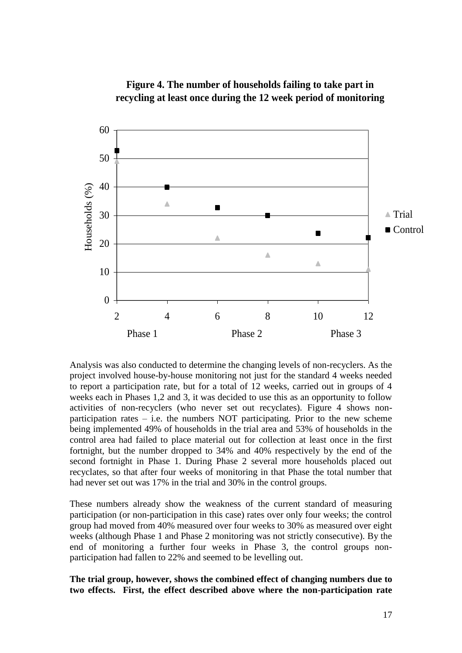



Analysis was also conducted to determine the changing levels of non-recyclers. As the project involved house-by-house monitoring not just for the standard 4 weeks needed to report a participation rate, but for a total of 12 weeks, carried out in groups of 4 weeks each in Phases 1,2 and 3, it was decided to use this as an opportunity to follow activities of non-recyclers (who never set out recyclates). Figure 4 shows nonparticipation rates  $-$  i.e. the numbers NOT participating. Prior to the new scheme being implemented 49% of households in the trial area and 53% of households in the control area had failed to place material out for collection at least once in the first fortnight, but the number dropped to 34% and 40% respectively by the end of the second fortnight in Phase 1. During Phase 2 several more households placed out recyclates, so that after four weeks of monitoring in that Phase the total number that had never set out was 17% in the trial and 30% in the control groups.

These numbers already show the weakness of the current standard of measuring participation (or non-participation in this case) rates over only four weeks; the control group had moved from 40% measured over four weeks to 30% as measured over eight weeks (although Phase 1 and Phase 2 monitoring was not strictly consecutive). By the end of monitoring a further four weeks in Phase 3, the control groups nonparticipation had fallen to 22% and seemed to be levelling out.

**The trial group, however, shows the combined effect of changing numbers due to two effects. First, the effect described above where the non-participation rate**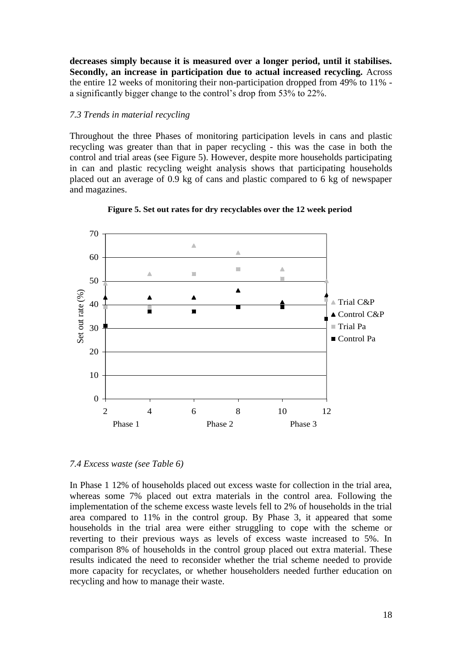**decreases simply because it is measured over a longer period, until it stabilises. Secondly, an increase in participation due to actual increased recycling.** Across the entire 12 weeks of monitoring their non-participation dropped from 49% to 11% a significantly bigger change to the control's drop from 53% to 22%.

#### *7.3 Trends in material recycling*

Throughout the three Phases of monitoring participation levels in cans and plastic recycling was greater than that in paper recycling - this was the case in both the control and trial areas (see Figure 5). However, despite more households participating in can and plastic recycling weight analysis shows that participating households placed out an average of 0.9 kg of cans and plastic compared to 6 kg of newspaper and magazines.



**Figure 5. Set out rates for dry recyclables over the 12 week period**

#### *7.4 Excess waste (see Table 6)*

In Phase 1 12% of households placed out excess waste for collection in the trial area, whereas some 7% placed out extra materials in the control area. Following the implementation of the scheme excess waste levels fell to 2% of households in the trial area compared to 11% in the control group. By Phase 3, it appeared that some households in the trial area were either struggling to cope with the scheme or reverting to their previous ways as levels of excess waste increased to 5%. In comparison 8% of households in the control group placed out extra material. These results indicated the need to reconsider whether the trial scheme needed to provide more capacity for recyclates, or whether householders needed further education on recycling and how to manage their waste.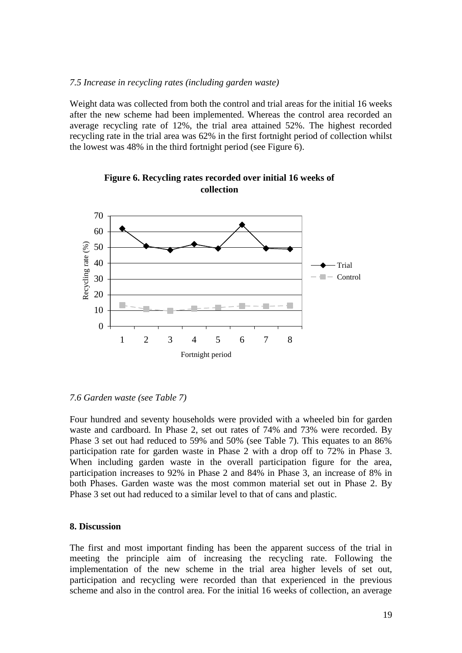#### *7.5 Increase in recycling rates (including garden waste)*

Weight data was collected from both the control and trial areas for the initial 16 weeks after the new scheme had been implemented. Whereas the control area recorded an average recycling rate of 12%, the trial area attained 52%. The highest recorded recycling rate in the trial area was 62% in the first fortnight period of collection whilst the lowest was 48% in the third fortnight period (see Figure 6).



**Figure 6. Recycling rates recorded over initial 16 weeks of collection**

#### *7.6 Garden waste (see Table 7)*

Four hundred and seventy households were provided with a wheeled bin for garden waste and cardboard. In Phase 2, set out rates of 74% and 73% were recorded. By Phase 3 set out had reduced to 59% and 50% (see Table 7). This equates to an 86% participation rate for garden waste in Phase 2 with a drop off to 72% in Phase 3. When including garden waste in the overall participation figure for the area, participation increases to 92% in Phase 2 and 84% in Phase 3, an increase of 8% in both Phases. Garden waste was the most common material set out in Phase 2. By Phase 3 set out had reduced to a similar level to that of cans and plastic.

#### **8. Discussion**

The first and most important finding has been the apparent success of the trial in meeting the principle aim of increasing the recycling rate. Following the implementation of the new scheme in the trial area higher levels of set out, participation and recycling were recorded than that experienced in the previous scheme and also in the control area. For the initial 16 weeks of collection, an average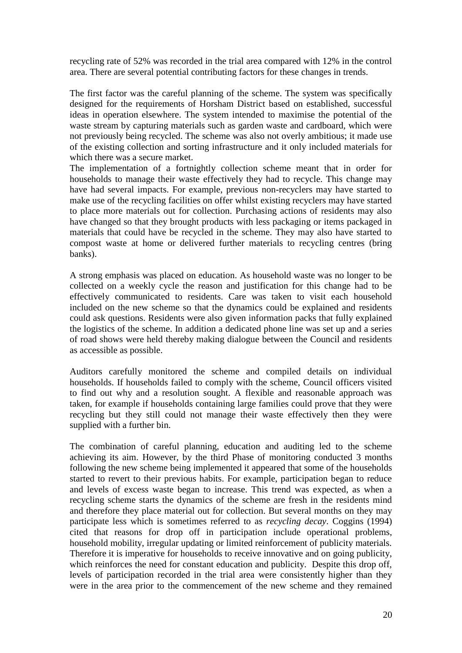recycling rate of 52% was recorded in the trial area compared with 12% in the control area. There are several potential contributing factors for these changes in trends.

The first factor was the careful planning of the scheme. The system was specifically designed for the requirements of Horsham District based on established, successful ideas in operation elsewhere. The system intended to maximise the potential of the waste stream by capturing materials such as garden waste and cardboard, which were not previously being recycled. The scheme was also not overly ambitious; it made use of the existing collection and sorting infrastructure and it only included materials for which there was a secure market.

The implementation of a fortnightly collection scheme meant that in order for households to manage their waste effectively they had to recycle. This change may have had several impacts. For example, previous non-recyclers may have started to make use of the recycling facilities on offer whilst existing recyclers may have started to place more materials out for collection. Purchasing actions of residents may also have changed so that they brought products with less packaging or items packaged in materials that could have be recycled in the scheme. They may also have started to compost waste at home or delivered further materials to recycling centres (bring banks).

A strong emphasis was placed on education. As household waste was no longer to be collected on a weekly cycle the reason and justification for this change had to be effectively communicated to residents. Care was taken to visit each household included on the new scheme so that the dynamics could be explained and residents could ask questions. Residents were also given information packs that fully explained the logistics of the scheme. In addition a dedicated phone line was set up and a series of road shows were held thereby making dialogue between the Council and residents as accessible as possible.

Auditors carefully monitored the scheme and compiled details on individual households. If households failed to comply with the scheme, Council officers visited to find out why and a resolution sought. A flexible and reasonable approach was taken, for example if households containing large families could prove that they were recycling but they still could not manage their waste effectively then they were supplied with a further bin.

The combination of careful planning, education and auditing led to the scheme achieving its aim. However, by the third Phase of monitoring conducted 3 months following the new scheme being implemented it appeared that some of the households started to revert to their previous habits. For example, participation began to reduce and levels of excess waste began to increase. This trend was expected, as when a recycling scheme starts the dynamics of the scheme are fresh in the residents mind and therefore they place material out for collection. But several months on they may participate less which is sometimes referred to as *recycling decay*. Coggins (1994) cited that reasons for drop off in participation include operational problems, household mobility, irregular updating or limited reinforcement of publicity materials. Therefore it is imperative for households to receive innovative and on going publicity, which reinforces the need for constant education and publicity. Despite this drop off, levels of participation recorded in the trial area were consistently higher than they were in the area prior to the commencement of the new scheme and they remained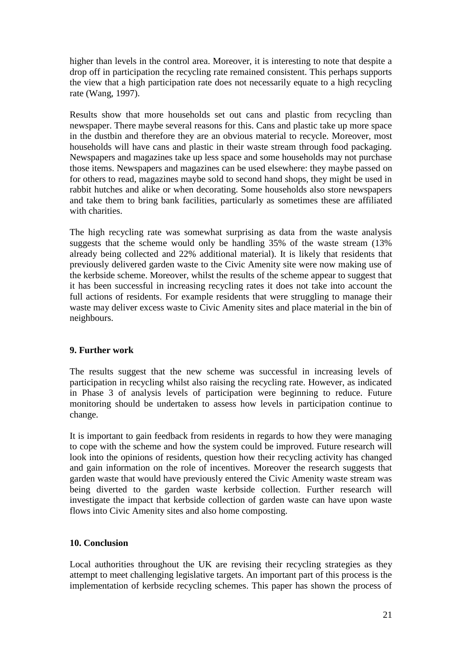higher than levels in the control area. Moreover, it is interesting to note that despite a drop off in participation the recycling rate remained consistent. This perhaps supports the view that a high participation rate does not necessarily equate to a high recycling rate (Wang, 1997).

Results show that more households set out cans and plastic from recycling than newspaper. There maybe several reasons for this. Cans and plastic take up more space in the dustbin and therefore they are an obvious material to recycle. Moreover, most households will have cans and plastic in their waste stream through food packaging. Newspapers and magazines take up less space and some households may not purchase those items. Newspapers and magazines can be used elsewhere: they maybe passed on for others to read, magazines maybe sold to second hand shops, they might be used in rabbit hutches and alike or when decorating. Some households also store newspapers and take them to bring bank facilities, particularly as sometimes these are affiliated with charities.

The high recycling rate was somewhat surprising as data from the waste analysis suggests that the scheme would only be handling 35% of the waste stream (13%) already being collected and 22% additional material). It is likely that residents that previously delivered garden waste to the Civic Amenity site were now making use of the kerbside scheme. Moreover, whilst the results of the scheme appear to suggest that it has been successful in increasing recycling rates it does not take into account the full actions of residents. For example residents that were struggling to manage their waste may deliver excess waste to Civic Amenity sites and place material in the bin of neighbours.

# **9. Further work**

The results suggest that the new scheme was successful in increasing levels of participation in recycling whilst also raising the recycling rate. However, as indicated in Phase 3 of analysis levels of participation were beginning to reduce. Future monitoring should be undertaken to assess how levels in participation continue to change.

It is important to gain feedback from residents in regards to how they were managing to cope with the scheme and how the system could be improved. Future research will look into the opinions of residents, question how their recycling activity has changed and gain information on the role of incentives. Moreover the research suggests that garden waste that would have previously entered the Civic Amenity waste stream was being diverted to the garden waste kerbside collection. Further research will investigate the impact that kerbside collection of garden waste can have upon waste flows into Civic Amenity sites and also home composting.

# **10. Conclusion**

Local authorities throughout the UK are revising their recycling strategies as they attempt to meet challenging legislative targets. An important part of this process is the implementation of kerbside recycling schemes. This paper has shown the process of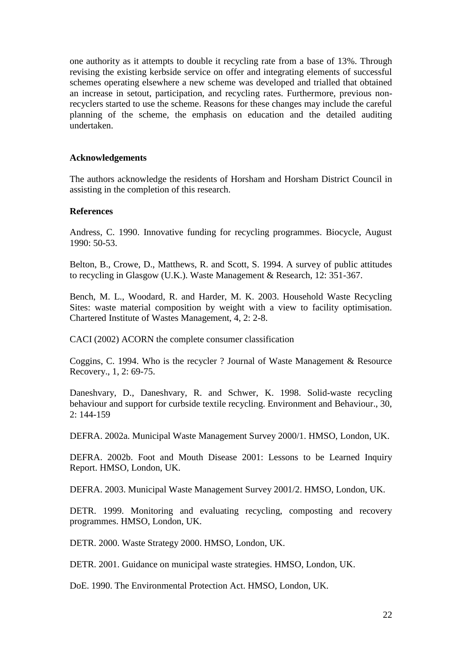one authority as it attempts to double it recycling rate from a base of 13%. Through revising the existing kerbside service on offer and integrating elements of successful schemes operating elsewhere a new scheme was developed and trialled that obtained an increase in setout, participation, and recycling rates. Furthermore, previous nonrecyclers started to use the scheme. Reasons for these changes may include the careful planning of the scheme, the emphasis on education and the detailed auditing undertaken.

#### **Acknowledgements**

The authors acknowledge the residents of Horsham and Horsham District Council in assisting in the completion of this research.

#### **References**

Andress, C. 1990. Innovative funding for recycling programmes. Biocycle, August 1990: 50-53.

Belton, B., Crowe, D., Matthews, R. and Scott, S. 1994. A survey of public attitudes to recycling in Glasgow (U.K.). Waste Management & Research, 12: 351-367.

Bench, M. L., Woodard, R. and Harder, M. K. 2003. Household Waste Recycling Sites: waste material composition by weight with a view to facility optimisation. Chartered Institute of Wastes Management, 4, 2: 2-8.

CACI (2002) ACORN the complete consumer classification

Coggins, C. 1994. Who is the recycler ? Journal of Waste Management & Resource Recovery., 1, 2: 69-75.

Daneshvary, D., Daneshvary, R. and Schwer, K. 1998. Solid-waste recycling behaviour and support for curbside textile recycling. Environment and Behaviour., 30, 2: 144-159

DEFRA. 2002a. Municipal Waste Management Survey 2000/1. HMSO, London, UK.

DEFRA. 2002b. Foot and Mouth Disease 2001: Lessons to be Learned Inquiry Report. HMSO, London, UK.

DEFRA. 2003. Municipal Waste Management Survey 2001/2. HMSO, London, UK.

DETR. 1999. Monitoring and evaluating recycling, composting and recovery programmes. HMSO, London, UK.

DETR. 2000. Waste Strategy 2000. HMSO, London, UK.

DETR. 2001. Guidance on municipal waste strategies. HMSO, London, UK.

DoE. 1990. The Environmental Protection Act. HMSO, London, UK.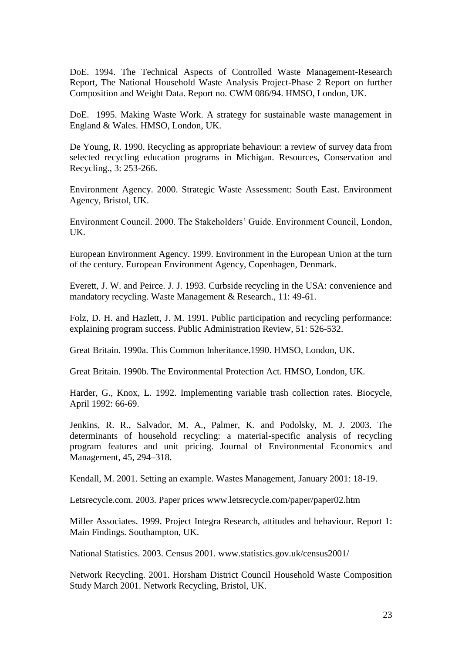DoE. 1994. The Technical Aspects of Controlled Waste Management-Research Report, The National Household Waste Analysis Project-Phase 2 Report on further Composition and Weight Data. Report no. CWM 086/94. HMSO, London, UK.

DoE. 1995. Making Waste Work. A strategy for sustainable waste management in England & Wales. HMSO, London, UK.

De Young, R. 1990. Recycling as appropriate behaviour: a review of survey data from selected recycling education programs in Michigan. Resources, Conservation and Recycling., 3: 253-266.

Environment Agency. 2000. Strategic Waste Assessment: South East. Environment Agency, Bristol, UK.

Environment Council. 2000. The Stakeholders' Guide. Environment Council, London, UK.

European Environment Agency. 1999. Environment in the European Union at the turn of the century. European Environment Agency, Copenhagen, Denmark.

Everett, J. W. and Peirce. J. J. 1993. Curbside recycling in the USA: convenience and mandatory recycling. Waste Management & Research., 11: 49-61.

Folz, D. H. and Hazlett, J. M. 1991. Public participation and recycling performance: explaining program success. Public Administration Review, 51: 526-532.

Great Britain. 1990a. This Common Inheritance.1990. HMSO, London, UK.

Great Britain. 1990b. The Environmental Protection Act. HMSO, London, UK.

Harder, G., Knox, L. 1992. Implementing variable trash collection rates. Biocycle, April 1992: 66-69.

Jenkins, R. R., Salvador, M. A., Palmer, K. and Podolsky, M. J. 2003. The determinants of household recycling: a material-specific analysis of recycling program features and unit pricing. Journal of Environmental Economics and Management, 45, 294–318.

Kendall, M. 2001. Setting an example. Wastes Management, January 2001: 18-19.

Letsrecycle.com. 2003. Paper prices www.letsrecycle.com/paper/paper02.htm

Miller Associates. 1999. Project Integra Research, attitudes and behaviour. Report 1: Main Findings. Southampton, UK.

National Statistics. 2003. Census 2001. www.statistics.gov.uk/census2001/

Network Recycling. 2001. Horsham District Council Household Waste Composition Study March 2001. Network Recycling, Bristol, UK.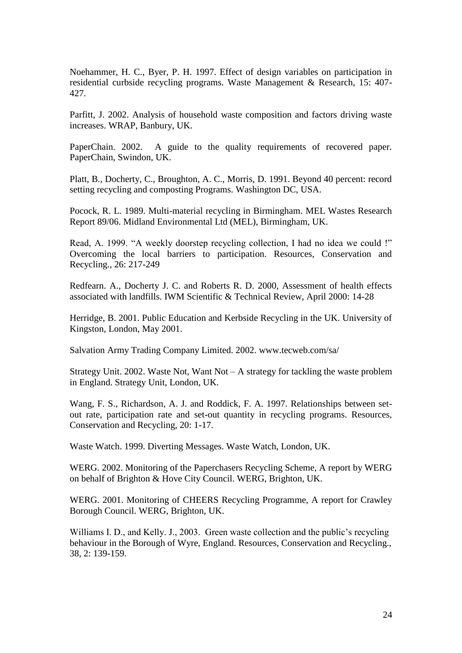Noehammer, H. C., Byer, P. H. 1997. Effect of design variables on participation in residential curbside recycling programs. Waste Management & Research, 15: 407- 427.

Parfitt, J. 2002. Analysis of household waste composition and factors driving waste increases. WRAP, Banbury, UK.

PaperChain. 2002. A guide to the quality requirements of recovered paper. PaperChain, Swindon, UK.

Platt, B., Docherty, C., Broughton, A. C., Morris, D. 1991. Beyond 40 percent: record setting recycling and composting Programs. Washington DC, USA.

Pocock, R. L. 1989. Multi-material recycling in Birmingham. MEL Wastes Research Report 89/06. Midland Environmental Ltd (MEL), Birmingham, UK.

Read, A. 1999. "A weekly doorstep recycling collection, I had no idea we could !" Overcoming the local barriers to participation. Resources, Conservation and Recycling., 26: 217-249

Redfearn. A., Docherty J. C. and Roberts R. D. 2000, Assessment of health effects associated with landfills. IWM Scientific & Technical Review, April 2000: 14-28

Herridge, B. 2001. Public Education and Kerbside Recycling in the UK. University of Kingston, London, May 2001.

Salvation Army Trading Company Limited. 2002. www.tecweb.com/sa/

Strategy Unit. 2002. Waste Not, Want Not – A strategy for tackling the waste problem in England. Strategy Unit, London, UK.

Wang, F. S., Richardson, A. J. and Roddick, F. A. 1997. Relationships between setout rate, participation rate and set-out quantity in recycling programs. Resources, Conservation and Recycling, 20: 1-17.

Waste Watch. 1999. Diverting Messages. Waste Watch, London, UK.

WERG. 2002. Monitoring of the Paperchasers Recycling Scheme, A report by WERG on behalf of Brighton & Hove City Council. WERG, Brighton, UK.

WERG. 2001. Monitoring of CHEERS Recycling Programme, A report for Crawley Borough Council. WERG, Brighton, UK.

Williams I. D., and Kelly. J., 2003. Green waste collection and the public's recycling behaviour in the Borough of Wyre, England. Resources, Conservation and Recycling., 38, 2: 139-159.